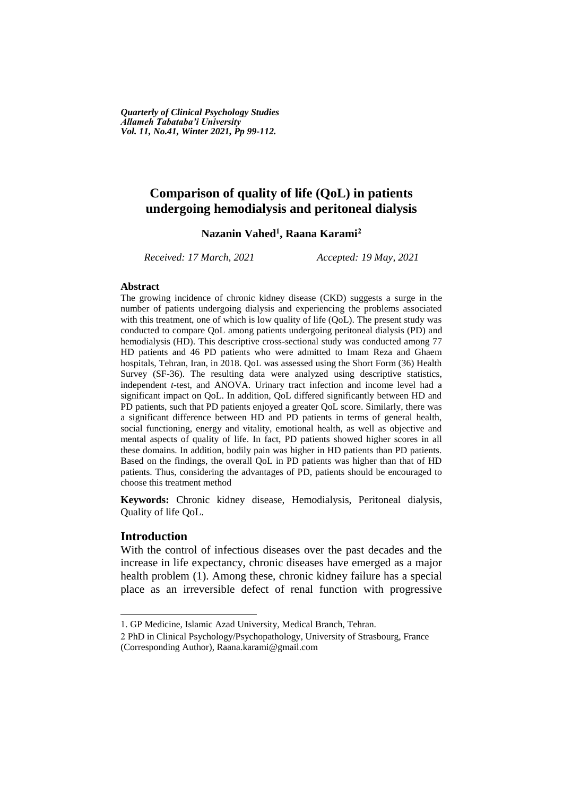*Quarterly of Clinical Psychology Studies Allameh Tabataba'i University Vol. 11, No.41, Winter 2021, Pp 99-112.*

## **Comparison of quality of life (QoL) in patients undergoing hemodialysis and peritoneal dialysis**

## **Nazanin Vahed<sup>1</sup> , Raana Karami<sup>2</sup>**

*Received: 17 March, 2021 Accepted: 19 May, 2021*

#### **Abstract**

The growing incidence of chronic kidney disease (CKD) suggests a surge in the number of patients undergoing dialysis and experiencing the problems associated with this treatment, one of which is low quality of life (QoL). The present study was conducted to compare QoL among patients undergoing peritoneal dialysis (PD) and hemodialysis (HD). This descriptive cross-sectional study was conducted among 77 HD patients and 46 PD patients who were admitted to Imam Reza and Ghaem hospitals, Tehran, Iran, in 2018. QoL was assessed using the Short Form (36) Health Survey (SF-36). The resulting data were analyzed using descriptive statistics, independent *t*-test, and ANOVA. Urinary tract infection and income level had a significant impact on QoL. In addition, QoL differed significantly between HD and PD patients, such that PD patients enjoyed a greater QoL score. Similarly, there was a significant difference between HD and PD patients in terms of general health, social functioning, energy and vitality, emotional health, as well as objective and mental aspects of quality of life. In fact, PD patients showed higher scores in all these domains. In addition, bodily pain was higher in HD patients than PD patients. Based on the findings, the overall QoL in PD patients was higher than that of HD patients. Thus, considering the advantages of PD, patients should be encouraged to choose this treatment method

**Keywords:** Chronic kidney disease, Hemodialysis, Peritoneal dialysis, Quality of life QoL.

## **Introduction**

**.** 

With the control of infectious diseases over the past decades and the increase in life expectancy, chronic diseases have emerged as a major health problem (1). Among these, chronic kidney failure has a special place as an irreversible defect of renal function with progressive

<sup>1.</sup> GP Medicine, Islamic Azad University, Medical Branch, Tehran.

<sup>2</sup> PhD in Clinical Psychology/Psychopathology, University of Strasbourg, France (Corresponding Author), Raana.karami@gmail.com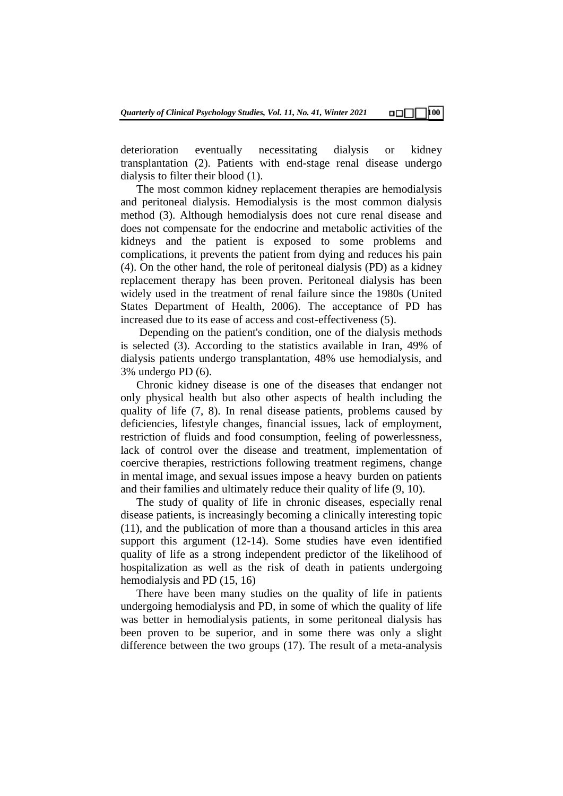deterioration eventually necessitating dialysis or kidney transplantation (2). Patients with end-stage renal disease undergo dialysis to filter their blood (1).

The most common kidney replacement therapies are hemodialysis and peritoneal dialysis. Hemodialysis is the most common dialysis method (3). Although hemodialysis does not cure renal disease and does not compensate for the endocrine and metabolic activities of the kidneys and the patient is exposed to some problems and complications, it prevents the patient from dying and reduces his pain (4). On the other hand, the role of peritoneal dialysis (PD) as a kidney replacement therapy has been proven. Peritoneal dialysis has been widely used in the treatment of renal failure since the 1980s (United States Department of Health, 2006). The acceptance of PD has increased due to its ease of access and cost-effectiveness (5).

Depending on the patient's condition, one of the dialysis methods is selected (3). According to the statistics available in Iran, 49% of dialysis patients undergo transplantation, 48% use hemodialysis, and 3% undergo PD (6).

Chronic kidney disease is one of the diseases that endanger not only physical health but also other aspects of health including the quality of life (7, 8). In renal disease patients, problems caused by deficiencies, lifestyle changes, financial issues, lack of employment, restriction of fluids and food consumption, feeling of powerlessness, lack of control over the disease and treatment, implementation of coercive therapies, restrictions following treatment regimens, change in mental image, and sexual issues impose a heavy burden on patients and their families and ultimately reduce their quality of life (9, 10).

The study of quality of life in chronic diseases, especially renal disease patients, is increasingly becoming a clinically interesting topic (11), and the publication of more than a thousand articles in this area support this argument (12-14). Some studies have even identified quality of life as a strong independent predictor of the likelihood of hospitalization as well as the risk of death in patients undergoing hemodialysis and PD (15, 16)

There have been many studies on the quality of life in patients undergoing hemodialysis and PD, in some of which the quality of life was better in hemodialysis patients, in some peritoneal dialysis has been proven to be superior, and in some there was only a slight difference between the two groups (17). The result of a meta-analysis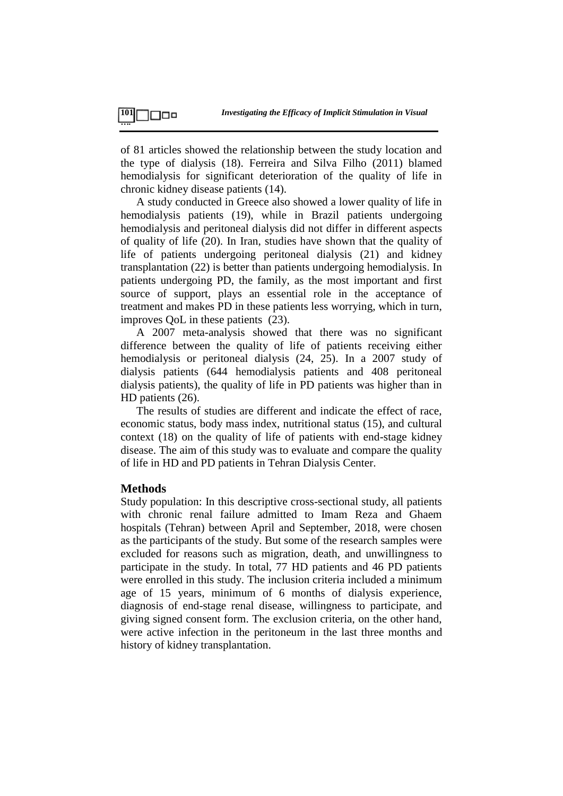of 81 articles showed the relationship between the study location and the type of dialysis (18). Ferreira and Silva Filho (2011) blamed hemodialysis for significant deterioration of the quality of life in chronic kidney disease patients (14).

A study conducted in Greece also showed a lower quality of life in hemodialysis patients (19), while in Brazil patients undergoing hemodialysis and peritoneal dialysis did not differ in different aspects of quality of life (20). In Iran, studies have shown that the quality of life of patients undergoing peritoneal dialysis (21) and kidney transplantation (22) is better than patients undergoing hemodialysis. In patients undergoing PD, the family, as the most important and first source of support, plays an essential role in the acceptance of treatment and makes PD in these patients less worrying, which in turn, improves QoL in these patients (23).

A 2007 meta-analysis showed that there was no significant difference between the quality of life of patients receiving either hemodialysis or peritoneal dialysis (24, 25). In a 2007 study of dialysis patients (644 hemodialysis patients and 408 peritoneal dialysis patients), the quality of life in PD patients was higher than in HD patients (26).

The results of studies are different and indicate the effect of race, economic status, body mass index, nutritional status (15), and cultural context (18) on the quality of life of patients with end-stage kidney disease. The aim of this study was to evaluate and compare the quality of life in HD and PD patients in Tehran Dialysis Center.

### **Methods**

Study population: In this descriptive cross-sectional study, all patients with chronic renal failure admitted to Imam Reza and Ghaem hospitals (Tehran) between April and September, 2018, were chosen as the participants of the study. But some of the research samples were excluded for reasons such as migration, death, and unwillingness to participate in the study. In total, 77 HD patients and 46 PD patients were enrolled in this study. The inclusion criteria included a minimum age of 15 years, minimum of 6 months of dialysis experience, diagnosis of end-stage renal disease, willingness to participate, and giving signed consent form. The exclusion criteria, on the other hand, were active infection in the peritoneum in the last three months and history of kidney transplantation.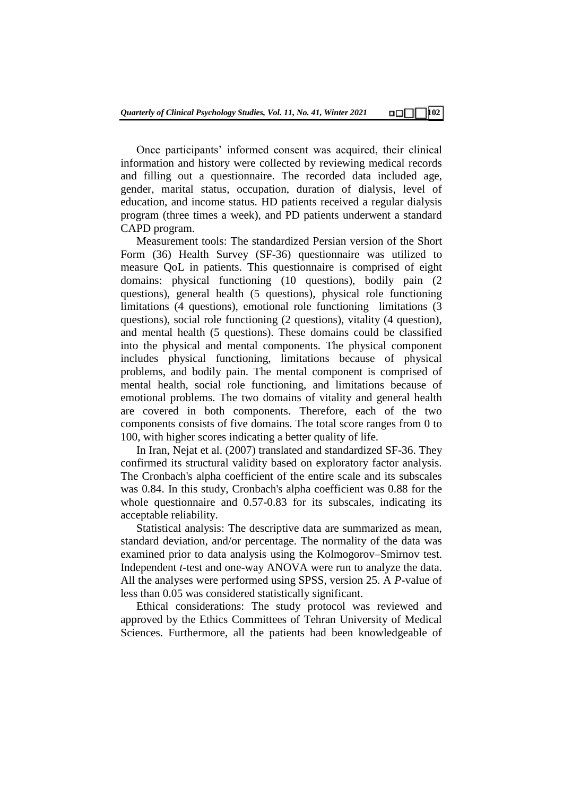Once participants' informed consent was acquired, their clinical information and history were collected by reviewing medical records and filling out a questionnaire. The recorded data included age, gender, marital status, occupation, duration of dialysis, level of education, and income status. HD patients received a regular dialysis program (three times a week), and PD patients underwent a standard CAPD program.

Measurement tools: The standardized Persian version of the Short Form (36) Health Survey (SF-36) questionnaire was utilized to measure QoL in patients. This questionnaire is comprised of eight domains: physical functioning (10 questions), bodily pain (2 questions), general health (5 questions), physical role functioning limitations (4 questions), emotional role functioning limitations (3 questions), social role functioning (2 questions), vitality (4 question), and mental health (5 questions). These domains could be classified into the physical and mental components. The physical component includes physical functioning, limitations because of physical problems, and bodily pain. The mental component is comprised of mental health, social role functioning, and limitations because of emotional problems. The two domains of vitality and general health are covered in both components. Therefore, each of the two components consists of five domains. The total score ranges from 0 to 100, with higher scores indicating a better quality of life.

In Iran, Nejat et al. (2007) translated and standardized SF-36. They confirmed its structural validity based on exploratory factor analysis. The Cronbach's alpha coefficient of the entire scale and its subscales was 0.84. In this study, Cronbach's alpha coefficient was 0.88 for the whole questionnaire and 0.57-0.83 for its subscales, indicating its acceptable reliability.

Statistical analysis: The descriptive data are summarized as mean, standard deviation, and/or percentage. The normality of the data was examined prior to data analysis using the Kolmogorov–Smirnov test. Independent *t*-test and one-way ANOVA were run to analyze the data. All the analyses were performed using SPSS, version 25. A *P*-value of less than 0.05 was considered statistically significant.

Ethical considerations: The study protocol was reviewed and approved by the Ethics Committees of Tehran University of Medical Sciences. Furthermore, all the patients had been knowledgeable of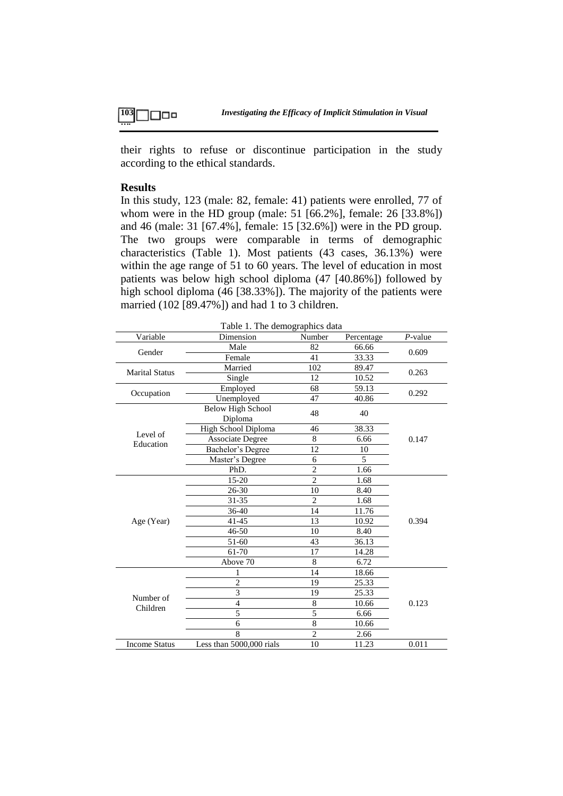their rights to refuse or discontinue participation in the study according to the ethical standards.

### **Results**

In this study, 123 (male: 82, female: 41) patients were enrolled, 77 of whom were in the HD group (male: 51 [66.2%], female: 26 [33.8%]) and 46 (male: 31 [67.4%], female: 15 [32.6%]) were in the PD group. The two groups were comparable in terms of demographic characteristics (Table 1). Most patients (43 cases, 36.13%) were within the age range of 51 to 60 years. The level of education in most patients was below high school diploma (47 [40.86%]) followed by high school diploma (46 [38.33%]). The majority of the patients were married (102 [89.47%]) and had 1 to 3 children.

| Variable              | Dimension                           | Number         | Percentage | $P$ -value |  |
|-----------------------|-------------------------------------|----------------|------------|------------|--|
| Gender                | Male                                | 82             | 66.66      | 0.609      |  |
|                       | Female                              | 41             | 33.33      |            |  |
| <b>Marital Status</b> | Married                             | 102            | 89.47      | 0.263      |  |
|                       | Single                              | 12             | 10.52      |            |  |
| Occupation            | Employed                            | 68             | 59.13      | 0.292      |  |
|                       | Unemployed                          | 47             | 40.86      |            |  |
|                       | <b>Below High School</b><br>Diploma | 48             | 40         |            |  |
|                       | High School Diploma                 | 46             | 38.33      |            |  |
| Level of<br>Education | <b>Associate Degree</b>             | 8              | 6.66       | 0.147      |  |
|                       | Bachelor's Degree                   | 12             | 10         |            |  |
|                       | Master's Degree                     | 6              | 5          |            |  |
|                       | PhD.                                | $\overline{2}$ | 1.66       |            |  |
|                       | 15-20                               | $\overline{2}$ | 1.68       |            |  |
|                       | 26-30                               | 10             | 8.40       |            |  |
|                       | 31-35                               | $\overline{2}$ | 1.68       |            |  |
|                       | 36-40                               | 14             | 11.76      | 0.394      |  |
| Age (Year)            | $41 - 45$                           | 13             | 10.92      |            |  |
|                       | 46-50                               | 10             | 8.40       |            |  |
|                       | 51-60                               | 43             | 36.13      |            |  |
|                       | 61-70                               | 17             | 14.28      |            |  |
|                       | Above 70                            | 8              | 6.72       |            |  |
|                       | 1                                   | 14             | 18.66      |            |  |
| Number of<br>Children | $\overline{2}$                      | 19             | 25.33      |            |  |
|                       | 3                                   | 19             | 25.33      |            |  |
|                       | $\overline{4}$                      | 8              | 10.66      | 0.123      |  |
|                       | 5                                   | 5              | 6.66       |            |  |
|                       | 6                                   | 8              | 10.66      |            |  |
|                       | 8                                   | $\overline{2}$ | 2.66       |            |  |
| <b>Income Status</b>  | Less than 5000,000 rials            | 11.23          | 0.011      |            |  |

Table 1. The demographics data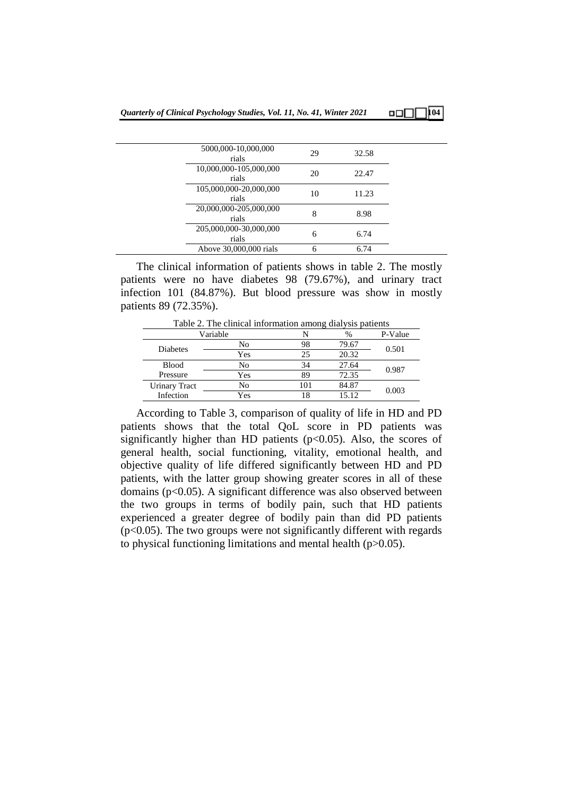#### 5000,000-10,000,000  $rials$  29 32.58 10,000,000-105,000,000  $rials$  20 22.47 105,000,000-20,000,000  $\frac{10}{10}$  11.23 20,000,000-205,000,000  $rials$  8.98 205,000,000-30,000,000  $\frac{60-50,000,000}{6}$  6.74 Above 30,000,000 rials 6 6.74

The clinical information of patients shows in table 2. The mostly patients were no have diabetes 98 (79.67%), and urinary tract infection 101 (84.87%). But blood pressure was show in mostly patients 89 (72.35%).

Table 2. The clinical information among dialysis patients

|                 | Variable |     | $\%$  | P-Value |  |
|-----------------|----------|-----|-------|---------|--|
| <b>Diabetes</b> | No       | 98  | 79.67 |         |  |
|                 | Yes      | 25  | 20.32 | 0.501   |  |
| <b>Blood</b>    | No       | 34  | 27.64 | 0.987   |  |
| Pressure        | Yes      | 89  | 72.35 |         |  |
| Urinary Tract   | No       | 101 | 84.87 | 0.003   |  |
| Infection       | Yes      | 18  | 15.12 |         |  |

According to Table 3, comparison of quality of life in HD and PD patients shows that the total QoL score in PD patients was significantly higher than HD patients ( $p<0.05$ ). Also, the scores of general health, social functioning, vitality, emotional health, and objective quality of life differed significantly between HD and PD patients, with the latter group showing greater scores in all of these domains (p<0.05). A significant difference was also observed between the two groups in terms of bodily pain, such that HD patients experienced a greater degree of bodily pain than did PD patients  $(p<0.05)$ . The two groups were not significantly different with regards to physical functioning limitations and mental health (p>0.05).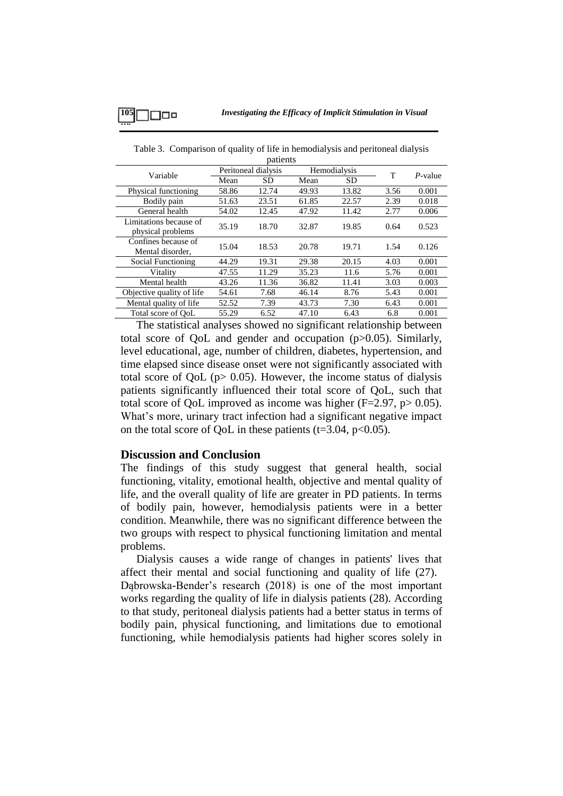| Variable                                    | Peritoneal dialysis |       | Hemodialysis |           | T    |         |
|---------------------------------------------|---------------------|-------|--------------|-----------|------|---------|
|                                             | Mean                | SD.   | Mean         | <b>SD</b> |      | P-value |
| Physical functioning                        | 58.86               | 12.74 | 49.93        | 13.82     | 3.56 | 0.001   |
| Bodily pain                                 | 51.63               | 23.51 | 61.85        | 22.57     | 2.39 | 0.018   |
| General health                              | 54.02               | 12.45 | 47.92        | 11.42     | 2.77 | 0.006   |
| Limitations because of<br>physical problems | 35.19               | 18.70 | 32.87        | 19.85     | 0.64 | 0.523   |
| Confines because of<br>Mental disorder,     | 15.04               | 18.53 | 20.78        | 19.71     | 1.54 | 0.126   |
| Social Functioning                          | 44.29               | 19.31 | 29.38        | 20.15     | 4.03 | 0.001   |
| Vitality                                    | 47.55               | 11.29 | 35.23        | 11.6      | 5.76 | 0.001   |
| Mental health                               | 43.26               | 11.36 | 36.82        | 11.41     | 3.03 | 0.003   |
| Objective quality of life                   | 54.61               | 7.68  | 46.14        | 8.76      | 5.43 | 0.001   |
| Mental quality of life                      | 52.52               | 7.39  | 43.73        | 7.30      | 6.43 | 0.001   |
| Total score of OoL                          | 55.29               | 6.52  | 47.10        | 6.43      | 6.8  | 0.001   |

Table 3. Comparison of quality of life in hemodialysis and peritoneal dialysis patients

The statistical analyses showed no significant relationship between total score of QoL and gender and occupation (p>0.05). Similarly, level educational, age, number of children, diabetes, hypertension, and time elapsed since disease onset were not significantly associated with total score of QoL (p> 0.05). However, the income status of dialysis patients significantly influenced their total score of QoL, such that total score of QoL improved as income was higher ( $F=2.97$ ,  $p>0.05$ ). What's more, urinary tract infection had a significant negative impact on the total score of OoL in these patients  $(t=3.04, p<0.05)$ .

### **Discussion and Conclusion**

The findings of this study suggest that general health, social functioning, vitality, emotional health, objective and mental quality of life, and the overall quality of life are greater in PD patients. In terms of bodily pain, however, hemodialysis patients were in a better condition. Meanwhile, there was no significant difference between the two groups with respect to physical functioning limitation and mental problems.

Dialysis causes a wide range of changes in patients' lives that affect their mental and social functioning and quality of life (27). Dąbrowska-Bender's research (2018) is one of the most important works regarding the quality of life in dialysis patients (28). According to that study, peritoneal dialysis patients had a better status in terms of bodily pain, physical functioning, and limitations due to emotional functioning, while hemodialysis patients had higher scores solely in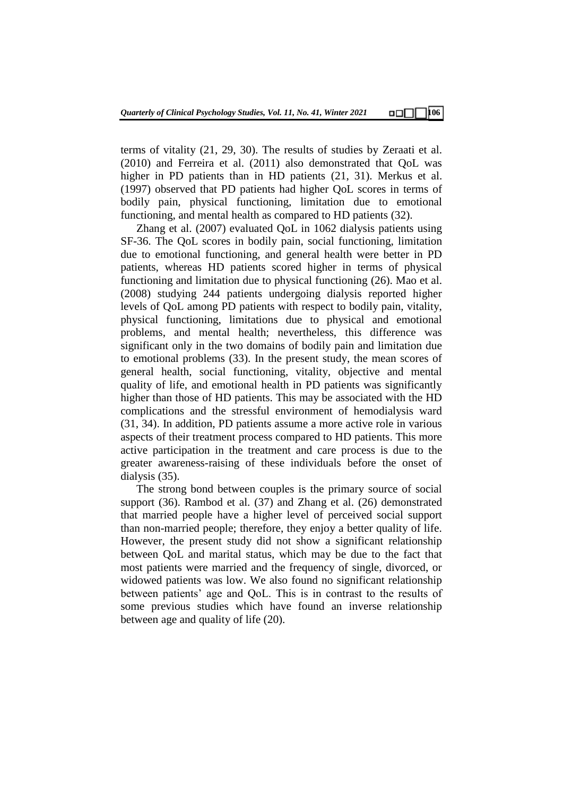terms of vitality (21, 29, 30). The results of studies by Zeraati et al. (2010) and Ferreira et al. (2011) also demonstrated that QoL was higher in PD patients than in HD patients (21, 31). Merkus et al. (1997) observed that PD patients had higher QoL scores in terms of bodily pain, physical functioning, limitation due to emotional functioning, and mental health as compared to HD patients (32).

Zhang et al. (2007) evaluated QoL in 1062 dialysis patients using SF-36. The QoL scores in bodily pain, social functioning, limitation due to emotional functioning, and general health were better in PD patients, whereas HD patients scored higher in terms of physical functioning and limitation due to physical functioning (26). Mao et al. (2008) studying 244 patients undergoing dialysis reported higher levels of QoL among PD patients with respect to bodily pain, vitality, physical functioning, limitations due to physical and emotional problems, and mental health; nevertheless, this difference was significant only in the two domains of bodily pain and limitation due to emotional problems (33). In the present study, the mean scores of general health, social functioning, vitality, objective and mental quality of life, and emotional health in PD patients was significantly higher than those of HD patients. This may be associated with the HD complications and the stressful environment of hemodialysis ward (31, 34). In addition, PD patients assume a more active role in various aspects of their treatment process compared to HD patients. This more active participation in the treatment and care process is due to the greater awareness-raising of these individuals before the onset of dialysis (35).

The strong bond between couples is the primary source of social support (36). Rambod et al. (37) and Zhang et al. (26) demonstrated that married people have a higher level of perceived social support than non-married people; therefore, they enjoy a better quality of life. However, the present study did not show a significant relationship between QoL and marital status, which may be due to the fact that most patients were married and the frequency of single, divorced, or widowed patients was low. We also found no significant relationship between patients' age and QoL. This is in contrast to the results of some previous studies which have found an inverse relationship between age and quality of life (20).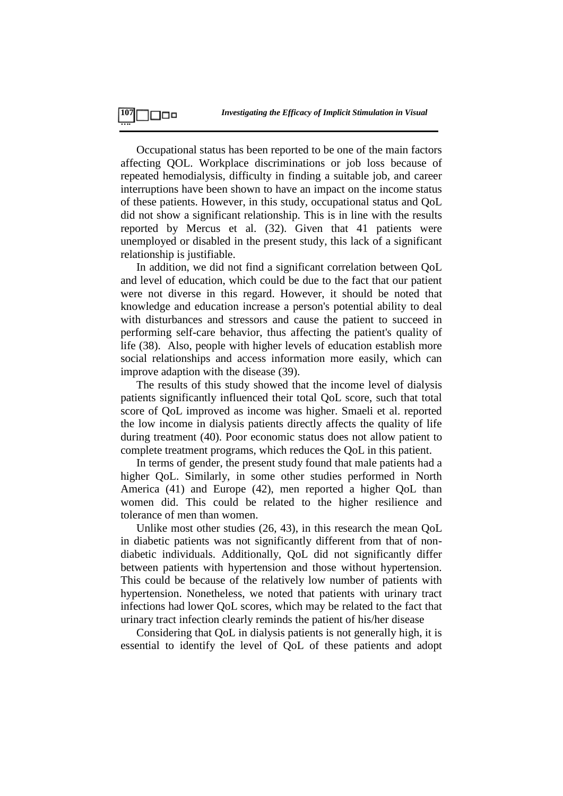Occupational status has been reported to be one of the main factors affecting QOL. Workplace discriminations or job loss because of repeated hemodialysis, difficulty in finding a suitable job, and career interruptions have been shown to have an impact on the income status of these patients. However, in this study, occupational status and QoL did not show a significant relationship. This is in line with the results reported by Mercus et al. (32). Given that 41 patients were unemployed or disabled in the present study, this lack of a significant relationship is justifiable.

In addition, we did not find a significant correlation between QoL and level of education, which could be due to the fact that our patient were not diverse in this regard. However, it should be noted that knowledge and education increase a person's potential ability to deal with disturbances and stressors and cause the patient to succeed in performing self-care behavior, thus affecting the patient's quality of life (38). Also, people with higher levels of education establish more social relationships and access information more easily, which can improve adaption with the disease (39).

The results of this study showed that the income level of dialysis patients significantly influenced their total QoL score, such that total score of QoL improved as income was higher. Smaeli et al. reported the low income in dialysis patients directly affects the quality of life during treatment (40). Poor economic status does not allow patient to complete treatment programs, which reduces the QoL in this patient.

In terms of gender, the present study found that male patients had a higher QoL. Similarly, in some other studies performed in North America (41) and Europe (42), men reported a higher QoL than women did. This could be related to the higher resilience and tolerance of men than women.

Unlike most other studies (26, 43), in this research the mean QoL in diabetic patients was not significantly different from that of nondiabetic individuals. Additionally, QoL did not significantly differ between patients with hypertension and those without hypertension. This could be because of the relatively low number of patients with hypertension. Nonetheless, we noted that patients with urinary tract infections had lower QoL scores, which may be related to the fact that urinary tract infection clearly reminds the patient of his/her disease

Considering that QoL in dialysis patients is not generally high, it is essential to identify the level of QoL of these patients and adopt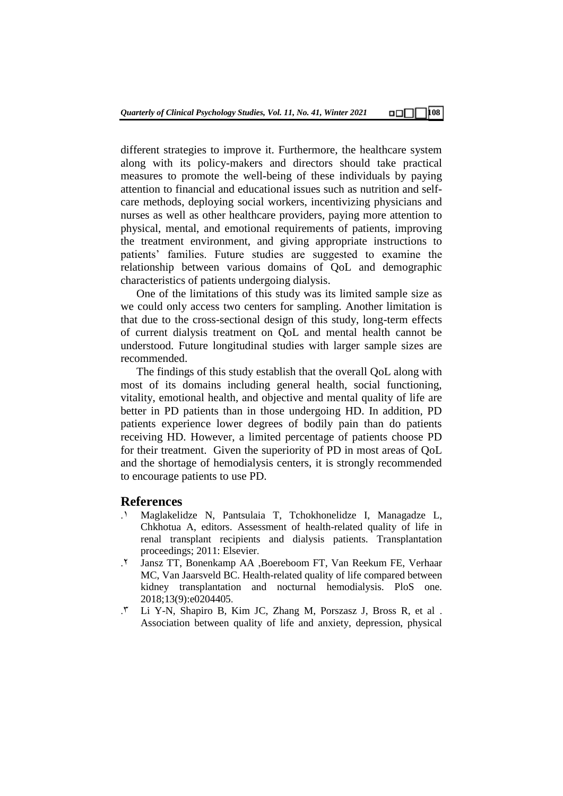different strategies to improve it. Furthermore, the healthcare system along with its policy-makers and directors should take practical measures to promote the well-being of these individuals by paying attention to financial and educational issues such as nutrition and selfcare methods, deploying social workers, incentivizing physicians and nurses as well as other healthcare providers, paying more attention to physical, mental, and emotional requirements of patients, improving the treatment environment, and giving appropriate instructions to patients' families. Future studies are suggested to examine the relationship between various domains of QoL and demographic characteristics of patients undergoing dialysis.

One of the limitations of this study was its limited sample size as we could only access two centers for sampling. Another limitation is that due to the cross-sectional design of this study, long-term effects of current dialysis treatment on QoL and mental health cannot be understood. Future longitudinal studies with larger sample sizes are recommended.

The findings of this study establish that the overall QoL along with most of its domains including general health, social functioning, vitality, emotional health, and objective and mental quality of life are better in PD patients than in those undergoing HD. In addition, PD patients experience lower degrees of bodily pain than do patients receiving HD. However, a limited percentage of patients choose PD for their treatment. Given the superiority of PD in most areas of QoL and the shortage of hemodialysis centers, it is strongly recommended to encourage patients to use PD.

## **References**

- .1 Maglakelidze N, Pantsulaia T, Tchokhonelidze I, Managadze L, Chkhotua A, editors. Assessment of health-related quality of life in renal transplant recipients and dialysis patients. Transplantation proceedings; 2011: Elsevier.
- .2 Jansz TT, Bonenkamp AA ,Boereboom FT, Van Reekum FE, Verhaar MC, Van Jaarsveld BC. Health-related quality of life compared between kidney transplantation and nocturnal hemodialysis. PloS one. 2018;13(9):e0204405.
- .3 Li Y-N, Shapiro B, Kim JC, Zhang M, Porszasz J, Bross R, et al . Association between quality of life and anxiety, depression, physical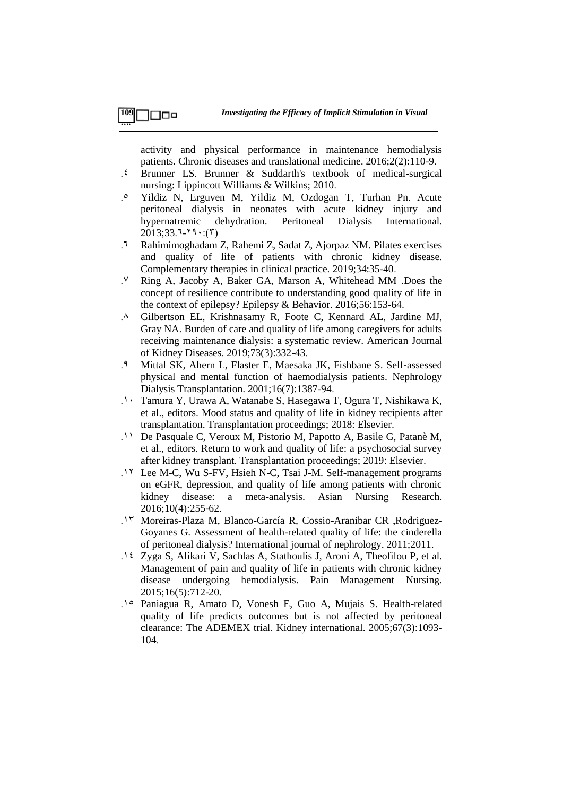activity and physical performance in maintenance hemodialysis patients. Chronic diseases and translational medicine. 2016;2(2):110-9.

- .4 Brunner LS. Brunner & Suddarth's textbook of medical-surgical nursing: Lippincott Williams & Wilkins; 2010.
- .5 Yildiz N, Erguven M, Yildiz M, Ozdogan T, Turhan Pn. Acute peritoneal dialysis in neonates with acute kidney injury and hypernatremic dehydration. Peritoneal Dialysis International.  $2013;33.7-79$ :(5)
- .6 Rahimimoghadam Z, Rahemi Z, Sadat Z, Ajorpaz NM. Pilates exercises and quality of life of patients with chronic kidney disease. Complementary therapies in clinical practice. 2019;34:35-40.
- .7 Ring A, Jacoby A, Baker GA, Marson A, Whitehead MM .Does the concept of resilience contribute to understanding good quality of life in the context of epilepsy? Epilepsy & Behavior. 2016;56:153-64.
- .8 Gilbertson EL, Krishnasamy R, Foote C, Kennard AL, Jardine MJ, Gray NA. Burden of care and quality of life among caregivers for adults receiving maintenance dialysis: a systematic review. American Journal of Kidney Diseases. 2019;73(3):332-43.
- .9 Mittal SK, Ahern L, Flaster E, Maesaka JK, Fishbane S. Self‐assessed physical and mental function of haemodialysis patients. Nephrology Dialysis Transplantation. 2001;16(7):1387-94.
- .12 Tamura Y, Urawa A, Watanabe S, Hasegawa T, Ogura T, Nishikawa K, et al., editors. Mood status and quality of life in kidney recipients after transplantation. Transplantation proceedings; 2018: Elsevier.
- .11 De Pasquale C, Veroux M, Pistorio M, Papotto A, Basile G, Patanè M, et al., editors. Return to work and quality of life: a psychosocial survey after kidney transplant. Transplantation proceedings; 2019: Elsevier.
- .12 Lee M-C, Wu S-FV, Hsieh N-C, Tsai J-M. Self-management programs on eGFR, depression, and quality of life among patients with chronic kidney disease: a meta-analysis. Asian Nursing Research. 2016;10(4):255-62.
- .13 Moreiras-Plaza M, Blanco-García R, Cossio-Aranibar CR ,Rodriguez-Goyanes G. Assessment of health-related quality of life: the cinderella of peritoneal dialysis? International journal of nephrology. 2011;2011.
- .14 Zyga S, Alikari V, Sachlas A, Stathoulis J, Aroni A, Theofilou P, et al. Management of pain and quality of life in patients with chronic kidney disease undergoing hemodialysis. Pain Management Nursing. 2015;16(5):712-20.
- .15 Paniagua R, Amato D, Vonesh E, Guo A, Mujais S. Health-related quality of life predicts outcomes but is not affected by peritoneal clearance: The ADEMEX trial. Kidney international. 2005;67(3):1093- 104.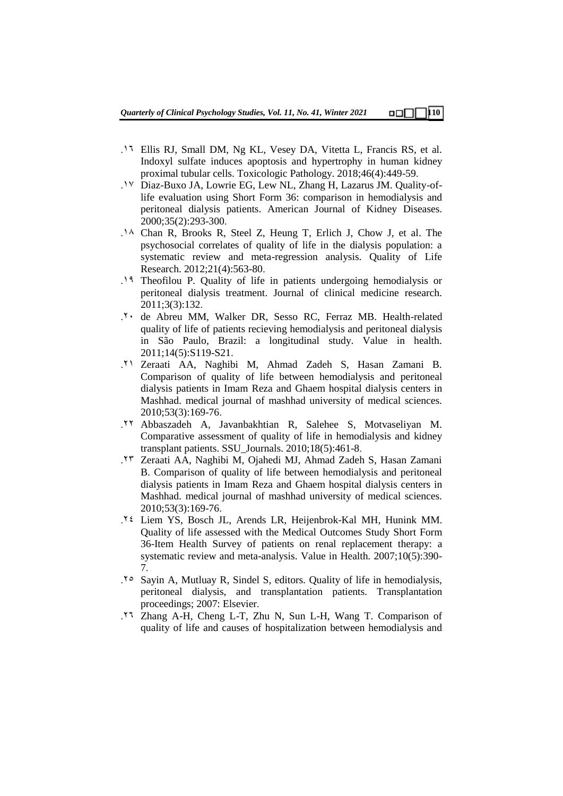- .16 Ellis RJ, Small DM, Ng KL, Vesey DA, Vitetta L, Francis RS, et al. Indoxyl sulfate induces apoptosis and hypertrophy in human kidney proximal tubular cells. Toxicologic Pathology. 2018;46(4):449-59.
- .17 Diaz-Buxo JA, Lowrie EG, Lew NL, Zhang H, Lazarus JM. Quality-oflife evaluation using Short Form 36: comparison in hemodialysis and peritoneal dialysis patients. American Journal of Kidney Diseases. 2000;35(2):293-300.
- .18 Chan R, Brooks R, Steel Z, Heung T, Erlich J, Chow J, et al. The psychosocial correlates of quality of life in the dialysis population: a systematic review and meta-regression analysis. Quality of Life Research. 2012;21(4):563-80.
- .19 Theofilou P. Quality of life in patients undergoing hemodialysis or peritoneal dialysis treatment. Journal of clinical medicine research. 2011;3(3):132.
- .22 de Abreu MM, Walker DR, Sesso RC, Ferraz MB. Health-related quality of life of patients recieving hemodialysis and peritoneal dialysis in São Paulo, Brazil: a longitudinal study. Value in health. 2011;14(5):S119-S21.
- .21 Zeraati AA, Naghibi M, Ahmad Zadeh S, Hasan Zamani B. Comparison of quality of life between hemodialysis and peritoneal dialysis patients in Imam Reza and Ghaem hospital dialysis centers in Mashhad. medical journal of mashhad university of medical sciences. 2010;53(3):169-76.
- .22 Abbaszadeh A, Javanbakhtian R, Salehee S, Motvaseliyan M. Comparative assessment of quality of life in hemodialysis and kidney transplant patients. SSU\_Journals. 2010;18(5):461-8.
- .23 Zeraati AA, Naghibi M, Ojahedi MJ, Ahmad Zadeh S, Hasan Zamani B. Comparison of quality of life between hemodialysis and peritoneal dialysis patients in Imam Reza and Ghaem hospital dialysis centers in Mashhad. medical journal of mashhad university of medical sciences. 2010;53(3):169-76.
- .24 Liem YS, Bosch JL, Arends LR, Heijenbrok-Kal MH, Hunink MM. Quality of life assessed with the Medical Outcomes Study Short Form 36-Item Health Survey of patients on renal replacement therapy: a systematic review and meta-analysis. Value in Health. 2007;10(5):390- 7.
- .25 Sayin A, Mutluay R, Sindel S, editors. Quality of life in hemodialysis, peritoneal dialysis, and transplantation patients. Transplantation proceedings; 2007: Elsevier.
- .26 Zhang A-H, Cheng L-T, Zhu N, Sun L-H, Wang T. Comparison of quality of life and causes of hospitalization between hemodialysis and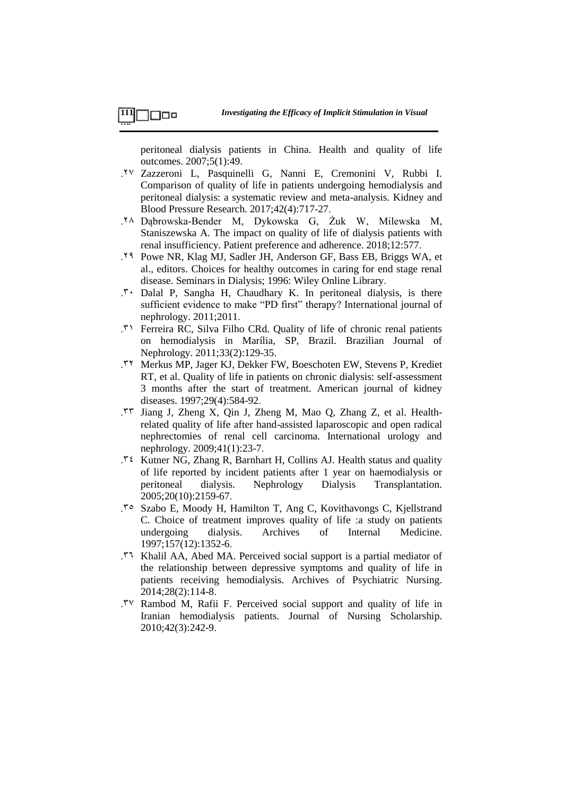peritoneal dialysis patients in China. Health and quality of life outcomes. 2007;5(1):49.

- .27 Zazzeroni L, Pasquinelli G, Nanni E, Cremonini V, Rubbi I. Comparison of quality of life in patients undergoing hemodialysis and peritoneal dialysis: a systematic review and meta-analysis. Kidney and Blood Pressure Research. 2017;42(4):717-27.
- .28 Dąbrowska-Bender M, Dykowska G, Żuk W, Milewska M, Staniszewska A. The impact on quality of life of dialysis patients with renal insufficiency. Patient preference and adherence. 2018;12:577.
- .29 Powe NR, Klag MJ, Sadler JH, Anderson GF, Bass EB, Briggs WA, et al., editors. Choices for healthy outcomes in caring for end stage renal disease. Seminars in Dialysis; 1996: Wiley Online Library.
- .<sup>T</sup> Dalal P, Sangha H, Chaudhary K. In peritoneal dialysis, is there sufficient evidence to make "PD first" therapy? International journal of nephrology. 2011;2011.
- .31 Ferreira RC, Silva Filho CRd. Quality of life of chronic renal patients on hemodialysis in Marília, SP, Brazil. Brazilian Journal of Nephrology. 2011;33(2):129-35.
- .32 Merkus MP, Jager KJ, Dekker FW, Boeschoten EW, Stevens P, Krediet RT, et al. Quality of life in patients on chronic dialysis: self-assessment 3 months after the start of treatment. American journal of kidney diseases. 1997;29(4):584-92.
- .33 Jiang J, Zheng X, Qin J, Zheng M, Mao Q, Zhang Z, et al. Healthrelated quality of life after hand-assisted laparoscopic and open radical nephrectomies of renal cell carcinoma. International urology and nephrology. 2009;41(1):23-7.
- $\mathcal{N}$ <sup>2</sup> Kutner NG, Zhang R, Barnhart H, Collins AJ. Health status and quality of life reported by incident patients after 1 year on haemodialysis or peritoneal dialysis. Nephrology Dialysis Transplantation. 2005;20(10):2159-67.
- .35 Szabo E, Moody H, Hamilton T, Ang C, Kovithavongs C, Kjellstrand C. Choice of treatment improves quality of life :a study on patients undergoing dialysis. Archives of Internal Medicine. 1997;157(12):1352-6.
- .36 Khalil AA, Abed MA. Perceived social support is a partial mediator of the relationship between depressive symptoms and quality of life in patients receiving hemodialysis. Archives of Psychiatric Nursing. 2014;28(2):114-8.
- .37 Rambod M, Rafii F. Perceived social support and quality of life in Iranian hemodialysis patients. Journal of Nursing Scholarship. 2010;42(3):242-9.